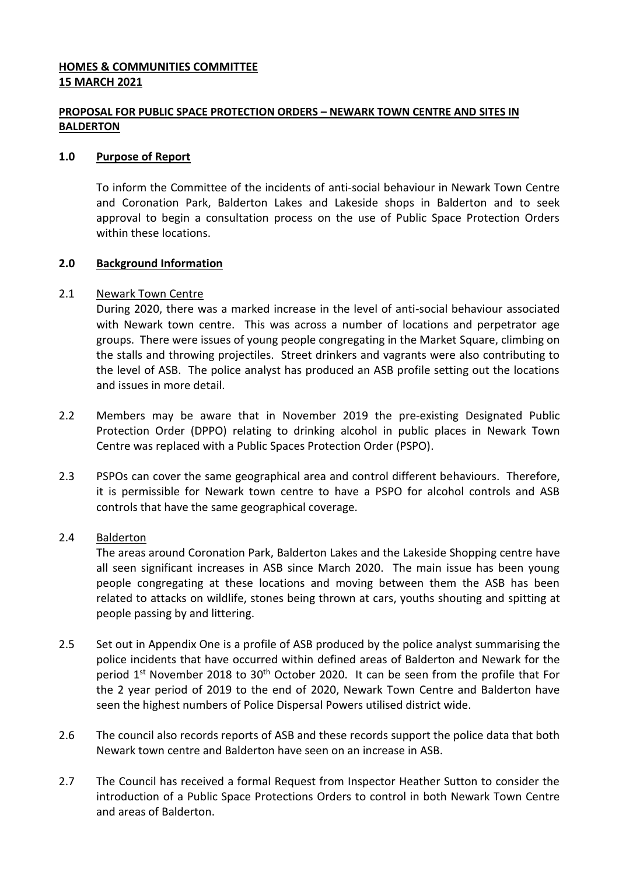# **HOMES & COMMUNITIES COMMITTEE 15 MARCH 2021**

# **PROPOSAL FOR PUBLIC SPACE PROTECTION ORDERS – NEWARK TOWN CENTRE AND SITES IN BALDERTON**

### **1.0 Purpose of Report**

To inform the Committee of the incidents of anti-social behaviour in Newark Town Centre and Coronation Park, Balderton Lakes and Lakeside shops in Balderton and to seek approval to begin a consultation process on the use of Public Space Protection Orders within these locations.

## **2.0 Background Information**

## 2.1 Newark Town Centre

During 2020, there was a marked increase in the level of anti-social behaviour associated with Newark town centre. This was across a number of locations and perpetrator age groups. There were issues of young people congregating in the Market Square, climbing on the stalls and throwing projectiles. Street drinkers and vagrants were also contributing to the level of ASB. The police analyst has produced an ASB profile setting out the locations and issues in more detail.

- 2.2 Members may be aware that in November 2019 the pre-existing Designated Public Protection Order (DPPO) relating to drinking alcohol in public places in Newark Town Centre was replaced with a Public Spaces Protection Order (PSPO).
- 2.3 PSPOs can cover the same geographical area and control different behaviours. Therefore, it is permissible for Newark town centre to have a PSPO for alcohol controls and ASB controls that have the same geographical coverage.

### 2.4 Balderton

The areas around Coronation Park, Balderton Lakes and the Lakeside Shopping centre have all seen significant increases in ASB since March 2020. The main issue has been young people congregating at these locations and moving between them the ASB has been related to attacks on wildlife, stones being thrown at cars, youths shouting and spitting at people passing by and littering.

- 2.5 Set out in Appendix One is a profile of ASB produced by the police analyst summarising the police incidents that have occurred within defined areas of Balderton and Newark for the period 1<sup>st</sup> November 2018 to 30<sup>th</sup> October 2020. It can be seen from the profile that For the 2 year period of 2019 to the end of 2020, Newark Town Centre and Balderton have seen the highest numbers of Police Dispersal Powers utilised district wide.
- 2.6 The council also records reports of ASB and these records support the police data that both Newark town centre and Balderton have seen on an increase in ASB.
- 2.7 The Council has received a formal Request from Inspector Heather Sutton to consider the introduction of a Public Space Protections Orders to control in both Newark Town Centre and areas of Balderton.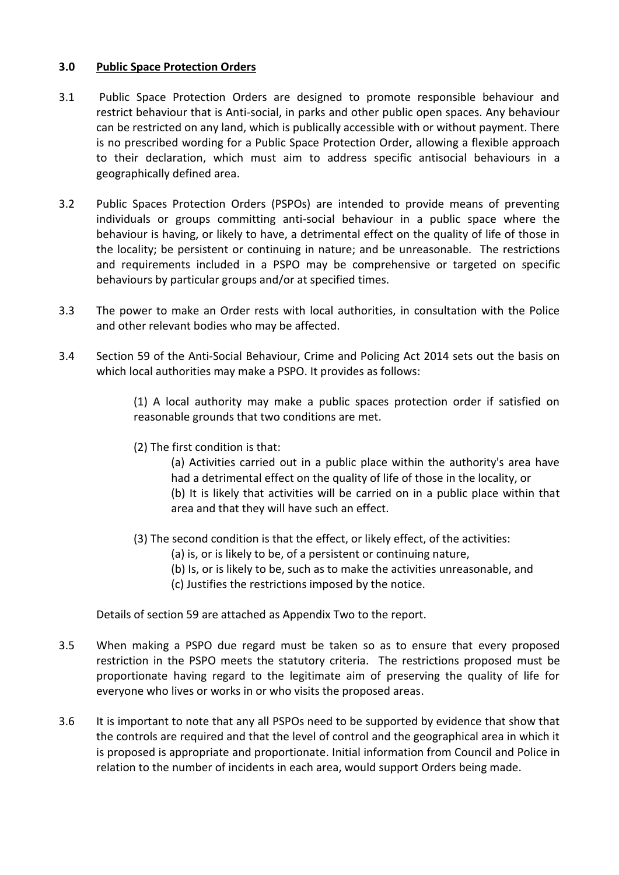## **3.0 Public Space Protection Orders**

- 3.1 Public Space Protection Orders are designed to promote responsible behaviour and restrict behaviour that is Anti-social, in parks and other public open spaces. Any behaviour can be restricted on any land, which is publically accessible with or without payment. There is no prescribed wording for a Public Space Protection Order, allowing a flexible approach to their declaration, which must aim to address specific antisocial behaviours in a geographically defined area.
- 3.2 Public Spaces Protection Orders (PSPOs) are intended to provide means of preventing individuals or groups committing anti-social behaviour in a public space where the behaviour is having, or likely to have, a detrimental effect on the quality of life of those in the locality; be persistent or continuing in nature; and be unreasonable. The restrictions and requirements included in a PSPO may be comprehensive or targeted on specific behaviours by particular groups and/or at specified times.
- 3.3 The power to make an Order rests with local authorities, in consultation with the Police and other relevant bodies who may be affected.
- 3.4 Section 59 of the Anti-Social Behaviour, Crime and Policing Act 2014 sets out the basis on which local authorities may make a PSPO. It provides as follows:

(1) A local authority may make a public spaces protection order if satisfied on reasonable grounds that two conditions are met.

(2) The first condition is that:

(a) Activities carried out in a public place within the authority's area have had a detrimental effect on the quality of life of those in the locality, or (b) It is likely that activities will be carried on in a public place within that area and that they will have such an effect.

- (3) The second condition is that the effect, or likely effect, of the activities:
	- (a) is, or is likely to be, of a persistent or continuing nature,
	- (b) Is, or is likely to be, such as to make the activities unreasonable, and
	- (c) Justifies the restrictions imposed by the notice.

Details of section 59 are attached as Appendix Two to the report.

- 3.5 When making a PSPO due regard must be taken so as to ensure that every proposed restriction in the PSPO meets the statutory criteria. The restrictions proposed must be proportionate having regard to the legitimate aim of preserving the quality of life for everyone who lives or works in or who visits the proposed areas.
- 3.6 It is important to note that any all PSPOs need to be supported by evidence that show that the controls are required and that the level of control and the geographical area in which it is proposed is appropriate and proportionate. Initial information from Council and Police in relation to the number of incidents in each area, would support Orders being made.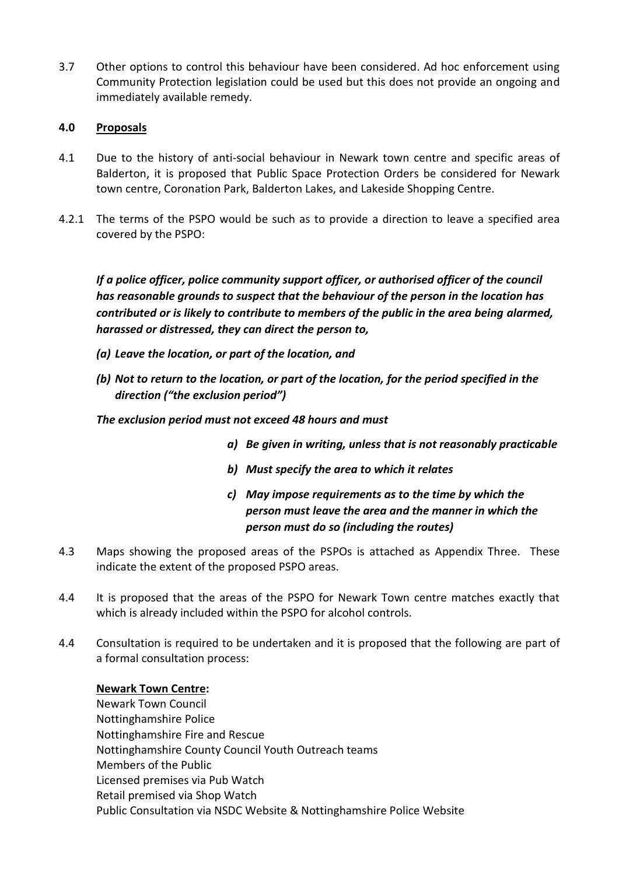3.7 Other options to control this behaviour have been considered. Ad hoc enforcement using Community Protection legislation could be used but this does not provide an ongoing and immediately available remedy.

## **4.0 Proposals**

- 4.1 Due to the history of anti-social behaviour in Newark town centre and specific areas of Balderton, it is proposed that Public Space Protection Orders be considered for Newark town centre, Coronation Park, Balderton Lakes, and Lakeside Shopping Centre.
- 4.2.1 The terms of the PSPO would be such as to provide a direction to leave a specified area covered by the PSPO:

*If a police officer, police community support officer, or authorised officer of the council has reasonable grounds to suspect that the behaviour of the person in the location has contributed or is likely to contribute to members of the public in the area being alarmed, harassed or distressed, they can direct the person to,* 

- *(a) Leave the location, or part of the location, and*
- *(b) Not to return to the location, or part of the location, for the period specified in the direction ("the exclusion period")*

*The exclusion period must not exceed 48 hours and must* 

- *a) Be given in writing, unless that is not reasonably practicable*
- *b) Must specify the area to which it relates*
- *c) May impose requirements as to the time by which the person must leave the area and the manner in which the person must do so (including the routes)*
- 4.3 Maps showing the proposed areas of the PSPOs is attached as Appendix Three. These indicate the extent of the proposed PSPO areas.
- 4.4 It is proposed that the areas of the PSPO for Newark Town centre matches exactly that which is already included within the PSPO for alcohol controls.
- 4.4 Consultation is required to be undertaken and it is proposed that the following are part of a formal consultation process:

### **Newark Town Centre:**

Newark Town Council Nottinghamshire Police Nottinghamshire Fire and Rescue Nottinghamshire County Council Youth Outreach teams Members of the Public Licensed premises via Pub Watch Retail premised via Shop Watch Public Consultation via NSDC Website & Nottinghamshire Police Website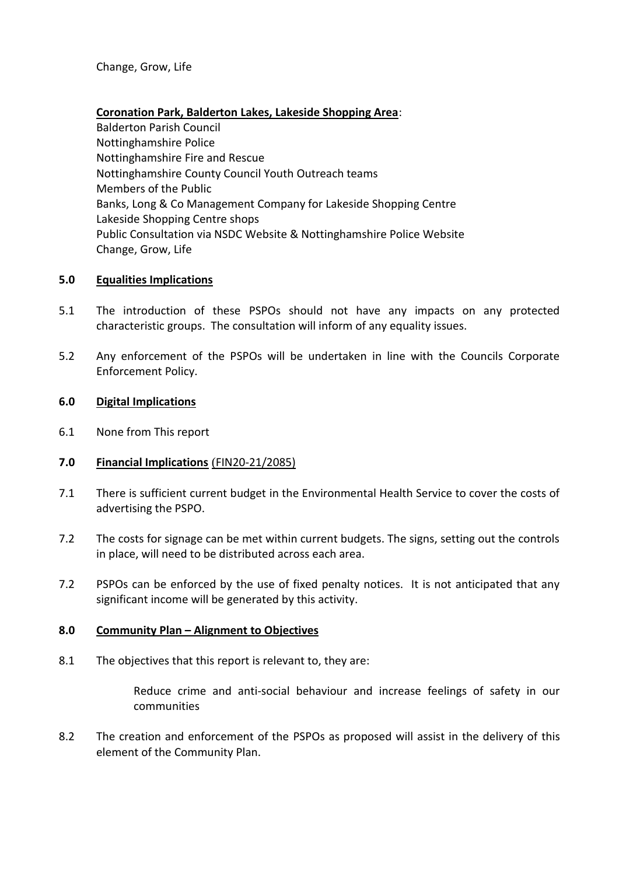Change, Grow, Life

### **Coronation Park, Balderton Lakes, Lakeside Shopping Area**:

Balderton Parish Council Nottinghamshire Police Nottinghamshire Fire and Rescue Nottinghamshire County Council Youth Outreach teams Members of the Public Banks, Long & Co Management Company for Lakeside Shopping Centre Lakeside Shopping Centre shops Public Consultation via NSDC Website & Nottinghamshire Police Website Change, Grow, Life

### **5.0 Equalities Implications**

- 5.1 The introduction of these PSPOs should not have any impacts on any protected characteristic groups. The consultation will inform of any equality issues.
- 5.2 Any enforcement of the PSPOs will be undertaken in line with the Councils Corporate Enforcement Policy.

#### **6.0 Digital Implications**

6.1 None from This report

### **7.0 Financial Implications** (FIN20-21/2085)

- 7.1 There is sufficient current budget in the Environmental Health Service to cover the costs of advertising the PSPO.
- 7.2 The costs for signage can be met within current budgets. The signs, setting out the controls in place, will need to be distributed across each area.
- 7.2 PSPOs can be enforced by the use of fixed penalty notices. It is not anticipated that any significant income will be generated by this activity.

### **8.0 Community Plan – Alignment to Objectives**

8.1 The objectives that this report is relevant to, they are:

Reduce crime and anti-social behaviour and increase feelings of safety in our communities

8.2 The creation and enforcement of the PSPOs as proposed will assist in the delivery of this element of the Community Plan.